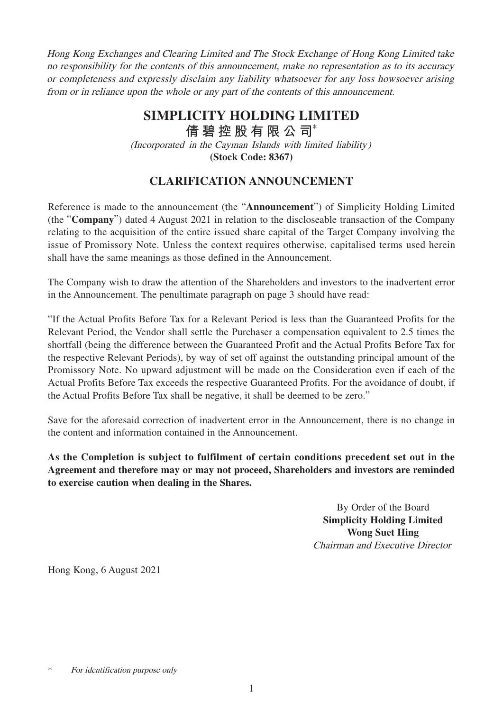Hong Kong Exchanges and Clearing Limited and The Stock Exchange of Hong Kong Limited take no responsibility for the contents of this announcement, make no representation as to its accuracy or completeness and expressly disclaim any liability whatsoever for any loss howsoever arising from or in reliance upon the whole or any part of the contents of this announcement.

## (Incorporated in the Cayman Islands with limited liability) **(Stock Code: 8367) SIMPLICITY HOLDING LIMITED 倩碧控股有限公 司**\*

## **CLARIFICATION ANNOUNCEMENT**

Reference is made to the announcement (the "**Announcement**") of Simplicity Holding Limited (the "**Company**") dated 4 August 2021 in relation to the discloseable transaction of the Company relating to the acquisition of the entire issued share capital of the Target Company involving the issue of Promissory Note. Unless the context requires otherwise, capitalised terms used herein shall have the same meanings as those defined in the Announcement.

The Company wish to draw the attention of the Shareholders and investors to the inadvertent error in the Announcement. The penultimate paragraph on page 3 should have read:

"If the Actual Profits Before Tax for a Relevant Period is less than the Guaranteed Profits for the Relevant Period, the Vendor shall settle the Purchaser a compensation equivalent to 2.5 times the shortfall (being the difference between the Guaranteed Profit and the Actual Profits Before Tax for the respective Relevant Periods), by way of set off against the outstanding principal amount of the Promissory Note. No upward adjustment will be made on the Consideration even if each of the Actual Profits Before Tax exceeds the respective Guaranteed Profits. For the avoidance of doubt, if the Actual Profits Before Tax shall be negative, it shall be deemed to be zero."

Save for the aforesaid correction of inadvertent error in the Announcement, there is no change in the content and information contained in the Announcement.

**As the Completion is subject to fulfilment of certain conditions precedent set out in the Agreement and therefore may or may not proceed, Shareholders and investors are reminded to exercise caution when dealing in the Shares.**

> By Order of the Board **Simplicity Holding Limited Wong Suet Hing** Chairman and Executive Director

Hong Kong, 6 August 2021

<sup>\*</sup> For identification purpose only